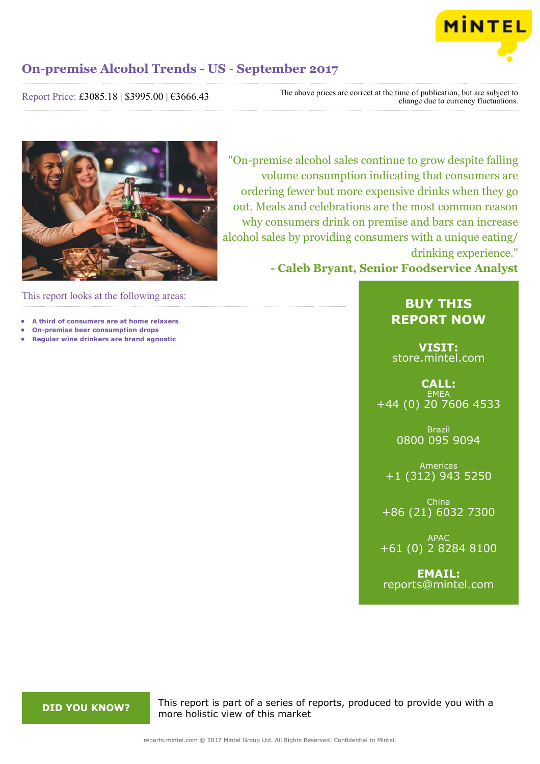

Report Price: £3085.18 | \$3995.00 | €3666.43

The above prices are correct at the time of publication, but are subject to change due to currency fluctuations.



"On-premise alcohol sales continue to grow despite falling volume consumption indicating that consumers are ordering fewer but more expensive drinks when they go out. Meals and celebrations are the most common reason why consumers drink on premise and bars can increase alcohol sales by providing consumers with a unique eating/ drinking experience."

**- Caleb Bryant, Senior Foodservice Analyst**

This report looks at the following areas:

- **• A third of consumers are at home relaxers**
- **• On-premise beer consumption drops**
- **• Regular wine drinkers are brand agnostic**

# **BUY THIS REPORT NOW**

**VISIT:** [store.mintel.com](http://reports.mintel.com//display/store/794093/)

**CALL: EMEA** +44 (0) 20 7606 4533

> Brazil 0800 095 9094

Americas +1 (312) 943 5250

China +86 (21) 6032 7300

APAC +61 (0) 2 8284 8100

**EMAIL:** [reports@mintel.com](mailto:reports@mintel.com)

**DID YOU KNOW?** This report is part of a series of reports, produced to provide you with a more holistic view of this market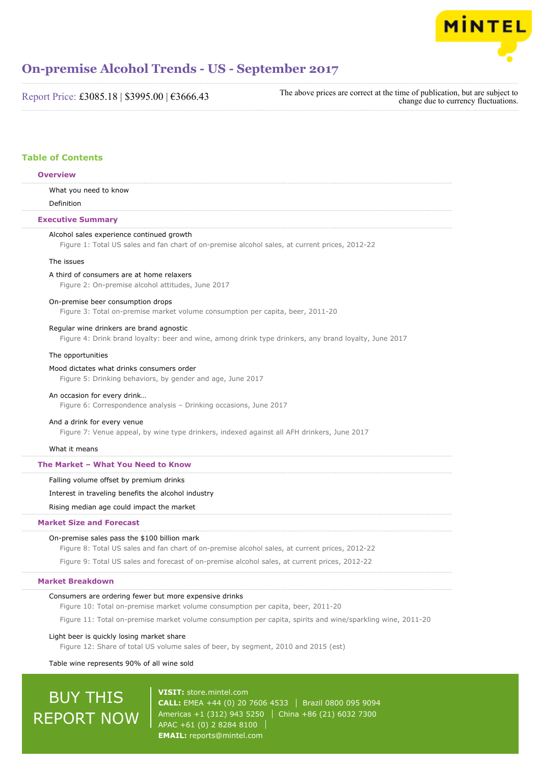

Report Price: £3085.18 | \$3995.00 | €3666.43

The above prices are correct at the time of publication, but are subject to change due to currency fluctuations.

# **Table of Contents**

# **Overview**

What you need to know

Definition

# **Executive Summary**

# Alcohol sales experience continued growth

Figure 1: Total US sales and fan chart of on-premise alcohol sales, at current prices, 2012-22

### The issues

## A third of consumers are at home relaxers

Figure 2: On-premise alcohol attitudes, June 2017

#### On-premise beer consumption drops

Figure 3: Total on-premise market volume consumption per capita, beer, 2011-20

### Regular wine drinkers are brand agnostic

Figure 4: Drink brand loyalty: beer and wine, among drink type drinkers, any brand loyalty, June 2017

#### The opportunities

#### Mood dictates what drinks consumers order

Figure 5: Drinking behaviors, by gender and age, June 2017

#### An occasion for every drink…

Figure 6: Correspondence analysis – Drinking occasions, June 2017

# And a drink for every venue

Figure 7: Venue appeal, by wine type drinkers, indexed against all AFH drinkers, June 2017

#### What it means

# **The Market – What You Need to Know**

#### Falling volume offset by premium drinks

Interest in traveling benefits the alcohol industry

Rising median age could impact the market

# **Market Size and Forecast**

#### On-premise sales pass the \$100 billion mark

Figure 8: Total US sales and fan chart of on-premise alcohol sales, at current prices, 2012-22

Figure 9: Total US sales and forecast of on-premise alcohol sales, at current prices, 2012-22

# **Market Breakdown**

#### Consumers are ordering fewer but more expensive drinks

Figure 10: Total on-premise market volume consumption per capita, beer, 2011-20

Figure 11: Total on-premise market volume consumption per capita, spirits and wine/sparkling wine, 2011-20

#### Light beer is quickly losing market share

Figure 12: Share of total US volume sales of beer, by segment, 2010 and 2015 (est)

# Table wine represents 90% of all wine sold

# BUY THIS REPORT NOW

**VISIT:** [store.mintel.com](http://reports.mintel.com//display/store/794093/) **CALL:** EMEA +44 (0) 20 7606 4533 Brazil 0800 095 9094 Americas +1 (312) 943 5250 | China +86 (21) 6032 7300 APAC +61 (0) 2 8284 8100 **EMAIL:** [reports@mintel.com](mailto:reports@mintel.com)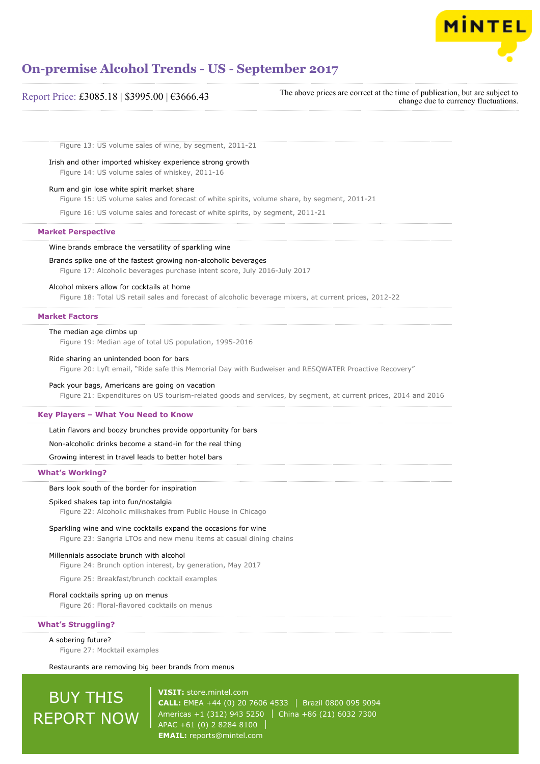

| Report Price: £3085.18   \$3995.00   €3666.43 |  |  |
|-----------------------------------------------|--|--|
|-----------------------------------------------|--|--|

The above prices are correct at the time of publication, but are subject to change due to currency fluctuations.

Figure 13: US volume sales of wine, by segment, 2011-21

#### Irish and other imported whiskey experience strong growth

Figure 14: US volume sales of whiskey, 2011-16

#### Rum and gin lose white spirit market share

Figure 15: US volume sales and forecast of white spirits, volume share, by segment, 2011-21

Figure 16: US volume sales and forecast of white spirits, by segment, 2011-21

# **Market Perspective**

#### Wine brands embrace the versatility of sparkling wine

#### Brands spike one of the fastest growing non-alcoholic beverages

Figure 17: Alcoholic beverages purchase intent score, July 2016-July 2017

#### Alcohol mixers allow for cocktails at home

Figure 18: Total US retail sales and forecast of alcoholic beverage mixers, at current prices, 2012-22

# **Market Factors**

#### The median age climbs up

Figure 19: Median age of total US population, 1995-2016

#### Ride sharing an unintended boon for bars

Figure 20: Lyft email, "Ride safe this Memorial Day with Budweiser and RESQWATER Proactive Recovery"

#### Pack your bags, Americans are going on vacation

Figure 21: Expenditures on US tourism-related goods and services, by segment, at current prices, 2014 and 2016

### **Key Players – What You Need to Know**

Latin flavors and boozy brunches provide opportunity for bars

# Non-alcoholic drinks become a stand-in for the real thing

Growing interest in travel leads to better hotel bars

#### **What's Working?**

#### Bars look south of the border for inspiration

#### Spiked shakes tap into fun/nostalgia

Figure 22: Alcoholic milkshakes from Public House in Chicago

### Sparkling wine and wine cocktails expand the occasions for wine

Figure 23: Sangria LTOs and new menu items at casual dining chains

#### Millennials associate brunch with alcohol

Figure 24: Brunch option interest, by generation, May 2017

Figure 25: Breakfast/brunch cocktail examples

#### Floral cocktails spring up on menus

Figure 26: Floral-flavored cocktails on menus

**What's Struggling?**

A sobering future? Figure 27: Mocktail examples

Restaurants are removing big beer brands from menus

# BUY THIS REPORT NOW

**VISIT:** [store.mintel.com](http://reports.mintel.com//display/store/794093/) **CALL:** EMEA +44 (0) 20 7606 4533 | Brazil 0800 095 9094 Americas +1 (312) 943 5250 | China +86 (21) 6032 7300 APAC +61 (0) 2 8284 8100 **EMAIL:** [reports@mintel.com](mailto:reports@mintel.com)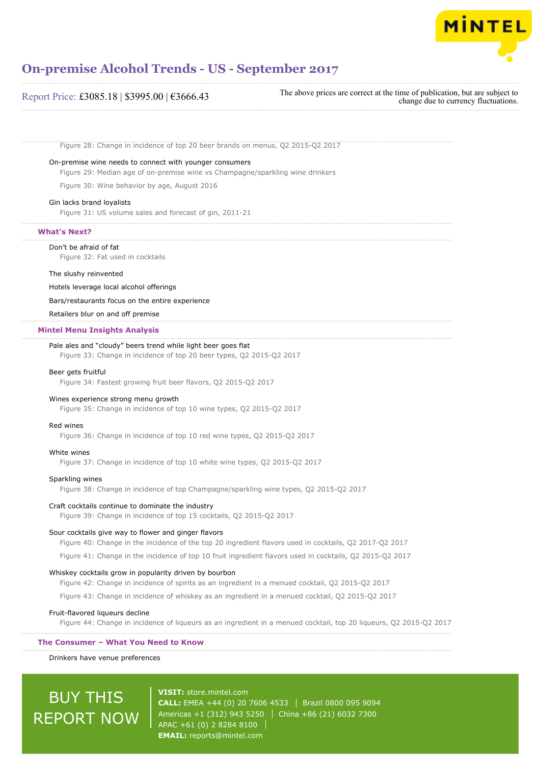

# Report Price: £3085.18 | \$3995.00 | €3666.43

The above prices are correct at the time of publication, but are subject to change due to currency fluctuations.

Figure 28: Change in incidence of top 20 beer brands on menus, Q2 2015-Q2 2017

# On-premise wine needs to connect with younger consumers

Figure 29: Median age of on-premise wine vs Champagne/sparkling wine drinkers

Figure 30: Wine behavior by age, August 2016

# Gin lacks brand loyalists

Figure 31: US volume sales and forecast of gin, 2011-21

# **What's Next?**

#### Don't be afraid of fat

Figure 32: Fat used in cocktails

#### The slushy reinvented

#### Hotels leverage local alcohol offerings

Bars/restaurants focus on the entire experience

Retailers blur on and off premise

#### **Mintel Menu Insights Analysis**

### Pale ales and "cloudy" beers trend while light beer goes flat

Figure 33: Change in incidence of top 20 beer types, Q2 2015-Q2 2017

#### Beer gets fruitful

Figure 34: Fastest growing fruit beer flavors, Q2 2015-Q2 2017

#### Wines experience strong menu growth

Figure 35: Change in incidence of top 10 wine types, Q2 2015-Q2 2017

#### Red wines

Figure 36: Change in incidence of top 10 red wine types, Q2 2015-Q2 2017

#### White wines

Figure 37: Change in incidence of top 10 white wine types, Q2 2015-Q2 2017

#### Sparkling wines

Figure 38: Change in incidence of top Champagne/sparkling wine types, Q2 2015-Q2 2017

#### Craft cocktails continue to dominate the industry

Figure 39: Change in incidence of top 15 cocktails, Q2 2015-Q2 2017

#### Sour cocktails give way to flower and ginger flavors

Figure 40: Change in the incidence of the top 20 ingredient flavors used in cocktails, Q2 2017-Q2 2017

Figure 41: Change in the incidence of top 10 fruit ingredient flavors used in cocktails, Q2 2015-Q2 2017

# Whiskey cocktails grow in popularity driven by bourbon

Figure 42: Change in incidence of spirits as an ingredient in a menued cocktail, Q2 2015-Q2 2017

Figure 43: Change in incidence of whiskey as an ingredient in a menued cocktail, Q2 2015-Q2 2017

#### Fruit-flavored liqueurs decline

Figure 44: Change in incidence of liqueurs as an ingredient in a menued cocktail, top 20 liqueurs, Q2 2015-Q2 2017

# **The Consumer – What You Need to Know**

Drinkers have venue preferences

# BUY THIS REPORT NOW

**VISIT:** [store.mintel.com](http://reports.mintel.com//display/store/794093/) **CALL:** EMEA +44 (0) 20 7606 4533 Brazil 0800 095 9094 Americas +1 (312) 943 5250 | China +86 (21) 6032 7300 APAC +61 (0) 2 8284 8100 **EMAIL:** [reports@mintel.com](mailto:reports@mintel.com)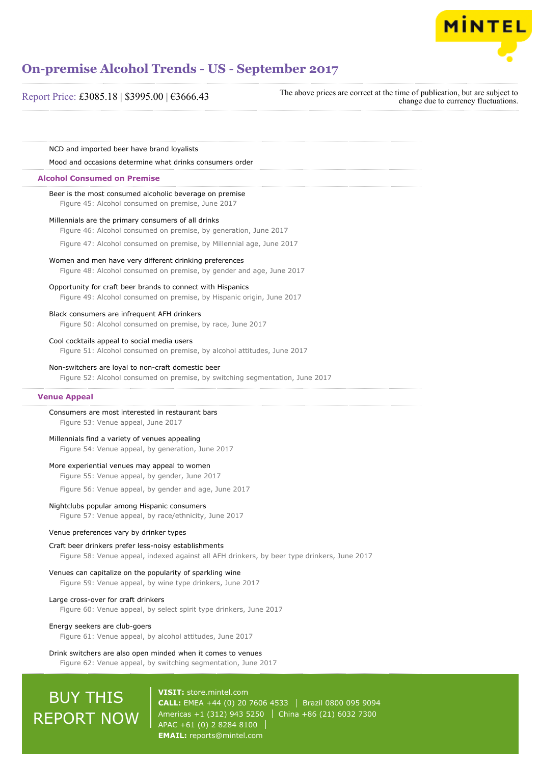

# Report Price: £3085.18 | \$3995.00 | €3666.43

The above prices are correct at the time of publication, but are subject to change due to currency fluctuations.

NCD and imported beer have brand loyalists

Mood and occasions determine what drinks consumers order

#### **Alcohol Consumed on Premise**

Beer is the most consumed alcoholic beverage on premise Figure 45: Alcohol consumed on premise, June 2017

# Millennials are the primary consumers of all drinks

Figure 46: Alcohol consumed on premise, by generation, June 2017

Figure 47: Alcohol consumed on premise, by Millennial age, June 2017

#### Women and men have very different drinking preferences

Figure 48: Alcohol consumed on premise, by gender and age, June 2017

#### Opportunity for craft beer brands to connect with Hispanics

Figure 49: Alcohol consumed on premise, by Hispanic origin, June 2017

# Black consumers are infrequent AFH drinkers

Figure 50: Alcohol consumed on premise, by race, June 2017

#### Cool cocktails appeal to social media users

Figure 51: Alcohol consumed on premise, by alcohol attitudes, June 2017

#### Non-switchers are loyal to non-craft domestic beer

Figure 52: Alcohol consumed on premise, by switching segmentation, June 2017

#### **Venue Appeal**

# Consumers are most interested in restaurant bars

Figure 53: Venue appeal, June 2017

# Millennials find a variety of venues appealing

Figure 54: Venue appeal, by generation, June 2017

#### More experiential venues may appeal to women

Figure 55: Venue appeal, by gender, June 2017

Figure 56: Venue appeal, by gender and age, June 2017

#### Nightclubs popular among Hispanic consumers

Figure 57: Venue appeal, by race/ethnicity, June 2017

# Venue preferences vary by drinker types

#### Craft beer drinkers prefer less-noisy establishments

Figure 58: Venue appeal, indexed against all AFH drinkers, by beer type drinkers, June 2017

# Venues can capitalize on the popularity of sparkling wine

Figure 59: Venue appeal, by wine type drinkers, June 2017

# Large cross-over for craft drinkers

Figure 60: Venue appeal, by select spirit type drinkers, June 2017

#### Energy seekers are club-goers

Figure 61: Venue appeal, by alcohol attitudes, June 2017

#### Drink switchers are also open minded when it comes to venues

Figure 62: Venue appeal, by switching segmentation, June 2017

# BUY THIS REPORT NOW

**VISIT:** [store.mintel.com](http://reports.mintel.com//display/store/794093/) **CALL:** EMEA +44 (0) 20 7606 4533 | Brazil 0800 095 9094 Americas +1 (312) 943 5250 | China +86 (21) 6032 7300 APAC +61 (0) 2 8284 8100 **EMAIL:** [reports@mintel.com](mailto:reports@mintel.com)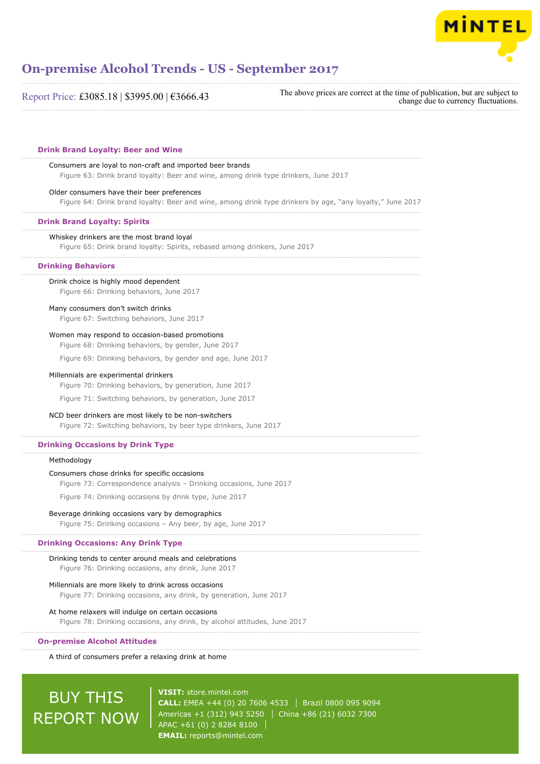

| Report Price: £3085.18   \$3995.00   €3666.43                                                                                                            | The above prices are correct at the time of publication, but are subject to<br>change due to currency fluctuations. |
|----------------------------------------------------------------------------------------------------------------------------------------------------------|---------------------------------------------------------------------------------------------------------------------|
| <b>Drink Brand Loyalty: Beer and Wine</b>                                                                                                                |                                                                                                                     |
| Consumers are loyal to non-craft and imported beer brands<br>Figure 63: Drink brand loyalty: Beer and wine, among drink type drinkers, June 2017         |                                                                                                                     |
| Older consumers have their beer preferences<br>Figure 64: Drink brand loyalty: Beer and wine, among drink type drinkers by age, "any loyalty," June 2017 |                                                                                                                     |
| <b>Drink Brand Loyalty: Spirits</b>                                                                                                                      |                                                                                                                     |
| Whiskey drinkers are the most brand loyal<br>Figure 65: Drink brand loyalty: Spirits, rebased among drinkers, June 2017                                  |                                                                                                                     |
| <b>Drinking Behaviors</b>                                                                                                                                |                                                                                                                     |
| Drink choice is highly mood dependent<br>Figure 66: Drinking behaviors, June 2017                                                                        |                                                                                                                     |
| Many consumers don't switch drinks<br>Figure 67: Switching behaviors, June 2017                                                                          |                                                                                                                     |
| Women may respond to occasion-based promotions<br>Figure 68: Drinking behaviors, by gender, June 2017                                                    |                                                                                                                     |
| Figure 69: Drinking behaviors, by gender and age, June 2017                                                                                              |                                                                                                                     |
| Millennials are experimental drinkers<br>Figure 70: Drinking behaviors, by generation, June 2017                                                         |                                                                                                                     |
| Figure 71: Switching behaviors, by generation, June 2017                                                                                                 |                                                                                                                     |
| NCD beer drinkers are most likely to be non-switchers<br>Figure 72: Switching behaviors, by beer type drinkers, June 2017                                |                                                                                                                     |
| <b>Drinking Occasions by Drink Type</b>                                                                                                                  |                                                                                                                     |
| Methodology                                                                                                                                              |                                                                                                                     |
| Consumers chose drinks for specific occasions<br>Figure 73: Correspondence analysis - Drinking occasions, June 2017                                      |                                                                                                                     |
| Figure 74: Drinking occasions by drink type, June 2017                                                                                                   |                                                                                                                     |
| Beverage drinking occasions vary by demographics<br>Figure 75: Drinking occasions - Any beer, by age, June 2017                                          |                                                                                                                     |
| <b>Drinking Occasions: Any Drink Type</b>                                                                                                                |                                                                                                                     |
| Drinking tends to center around meals and celebrations<br>Figure 76: Drinking occasions, any drink, June 2017                                            |                                                                                                                     |
| Millennials are more likely to drink across occasions<br>Figure 77: Drinking occasions, any drink, by generation, June 2017                              |                                                                                                                     |
| At home relaxers will indulge on certain occasions<br>Figure 78: Drinking occasions, any drink, by alcohol attitudes, June 2017                          |                                                                                                                     |

# **On-premise Alcohol Attitudes**

A third of consumers prefer a relaxing drink at home

# BUY THIS REPORT NOW

**VISIT:** [store.mintel.com](http://reports.mintel.com//display/store/794093/) **CALL:** EMEA +44 (0) 20 7606 4533 | Brazil 0800 095 9094 Americas +1 (312) 943 5250 China +86 (21) 6032 7300 APAC +61 (0) 2 8284 8100 **EMAIL:** [reports@mintel.com](mailto:reports@mintel.com)